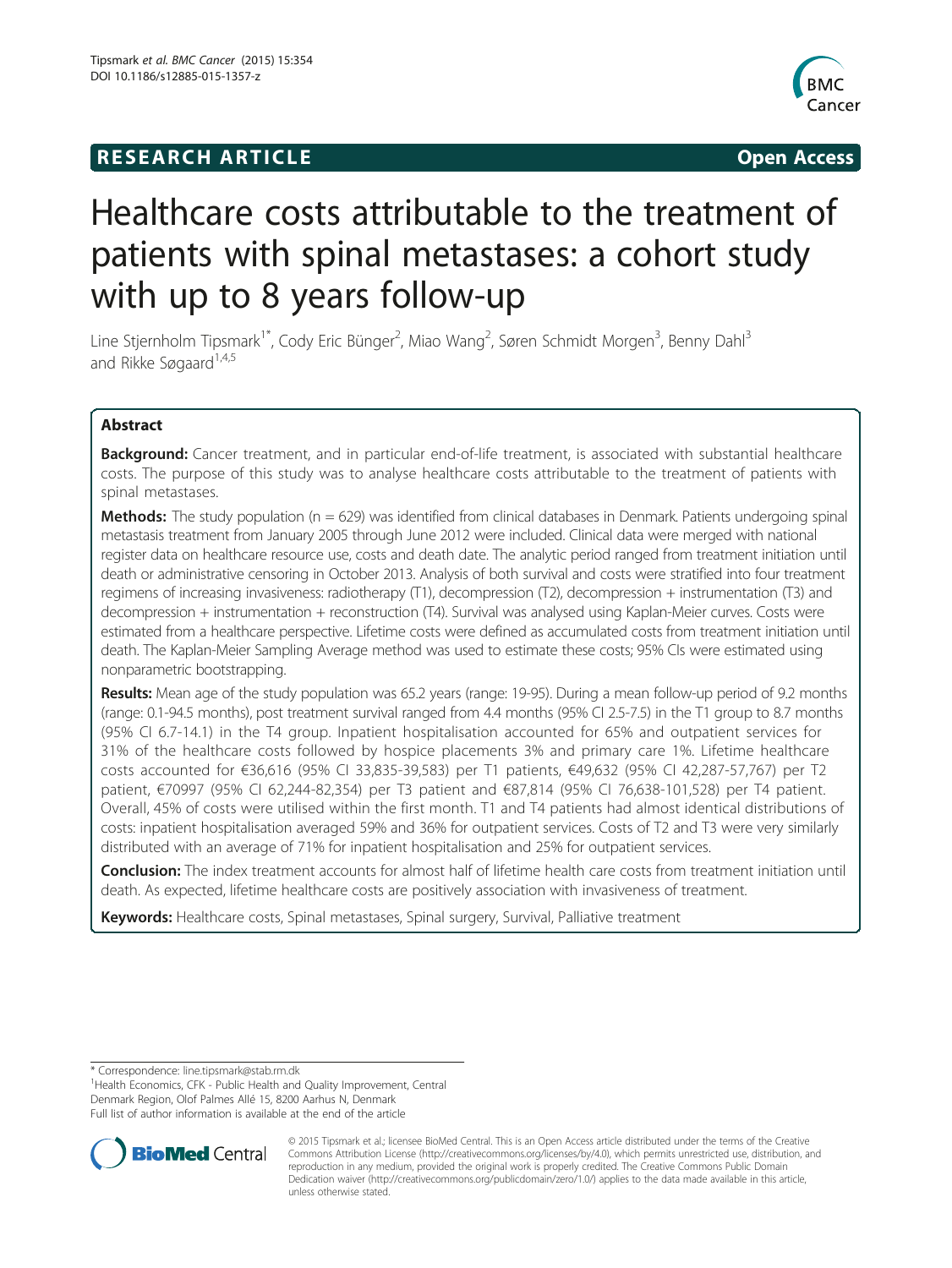# **RESEARCH ARTICLE Example 20 and 20 and 20 and 20 and 20 and 20 and 20 and 20 and 20 and 20 and 20 and 20 and 20 and 20 and 20 and 20 and 20 and 20 and 20 and 20 and 20 and 20 and 20 and 20 and 20 and 20 and 20 and 20 an**



# Healthcare costs attributable to the treatment of patients with spinal metastases: a cohort study with up to 8 years follow-up

Line Stjernholm Tipsmark<sup>1\*</sup>, Cody Eric Bünger<sup>2</sup>, Miao Wang<sup>2</sup>, Søren Schmidt Morgen<sup>3</sup>, Benny Dahl<sup>3</sup> and Rikke Søgaard<sup>1,4,5</sup>

# Abstract

Background: Cancer treatment, and in particular end-of-life treatment, is associated with substantial healthcare costs. The purpose of this study was to analyse healthcare costs attributable to the treatment of patients with spinal metastases.

**Methods:** The study population  $(n = 629)$  was identified from clinical databases in Denmark. Patients undergoing spinal metastasis treatment from January 2005 through June 2012 were included. Clinical data were merged with national register data on healthcare resource use, costs and death date. The analytic period ranged from treatment initiation until death or administrative censoring in October 2013. Analysis of both survival and costs were stratified into four treatment regimens of increasing invasiveness: radiotherapy (T1), decompression (T2), decompression + instrumentation (T3) and decompression + instrumentation + reconstruction (T4). Survival was analysed using Kaplan-Meier curves. Costs were estimated from a healthcare perspective. Lifetime costs were defined as accumulated costs from treatment initiation until death. The Kaplan-Meier Sampling Average method was used to estimate these costs; 95% CIs were estimated using nonparametric bootstrapping.

Results: Mean age of the study population was 65.2 years (range: 19-95). During a mean follow-up period of 9.2 months (range: 0.1-94.5 months), post treatment survival ranged from 4.4 months (95% CI 2.5-7.5) in the T1 group to 8.7 months (95% CI 6.7-14.1) in the T4 group. Inpatient hospitalisation accounted for 65% and outpatient services for 31% of the healthcare costs followed by hospice placements 3% and primary care 1%. Lifetime healthcare costs accounted for €36,616 (95% CI 33,835-39,583) per T1 patients, €49,632 (95% CI 42,287-57,767) per T2 patient, €70997 (95% CI 62,244-82,354) per T3 patient and €87,814 (95% CI 76,638-101,528) per T4 patient. Overall, 45% of costs were utilised within the first month. T1 and T4 patients had almost identical distributions of costs: inpatient hospitalisation averaged 59% and 36% for outpatient services. Costs of T2 and T3 were very similarly distributed with an average of 71% for inpatient hospitalisation and 25% for outpatient services.

Conclusion: The index treatment accounts for almost half of lifetime health care costs from treatment initiation until death. As expected, lifetime healthcare costs are positively association with invasiveness of treatment.

Keywords: Healthcare costs, Spinal metastases, Spinal surgery, Survival, Palliative treatment

<sup>1</sup> Health Economics, CFK - Public Health and Quality Improvement, Central Denmark Region, Olof Palmes Allé 15, 8200 Aarhus N, Denmark Full list of author information is available at the end of the article



© 2015 Tipsmark et al.; licensee BioMed Central. This is an Open Access article distributed under the terms of the Creative Commons Attribution License [\(http://creativecommons.org/licenses/by/4.0\)](http://creativecommons.org/licenses/by/4.0), which permits unrestricted use, distribution, and reproduction in any medium, provided the original work is properly credited. The Creative Commons Public Domain Dedication waiver [\(http://creativecommons.org/publicdomain/zero/1.0/](http://creativecommons.org/publicdomain/zero/1.0/)) applies to the data made available in this article, unless otherwise stated.

<sup>\*</sup> Correspondence: [line.tipsmark@stab.rm.dk](mailto:line.tipsmark@stab.rm.dk) <sup>1</sup>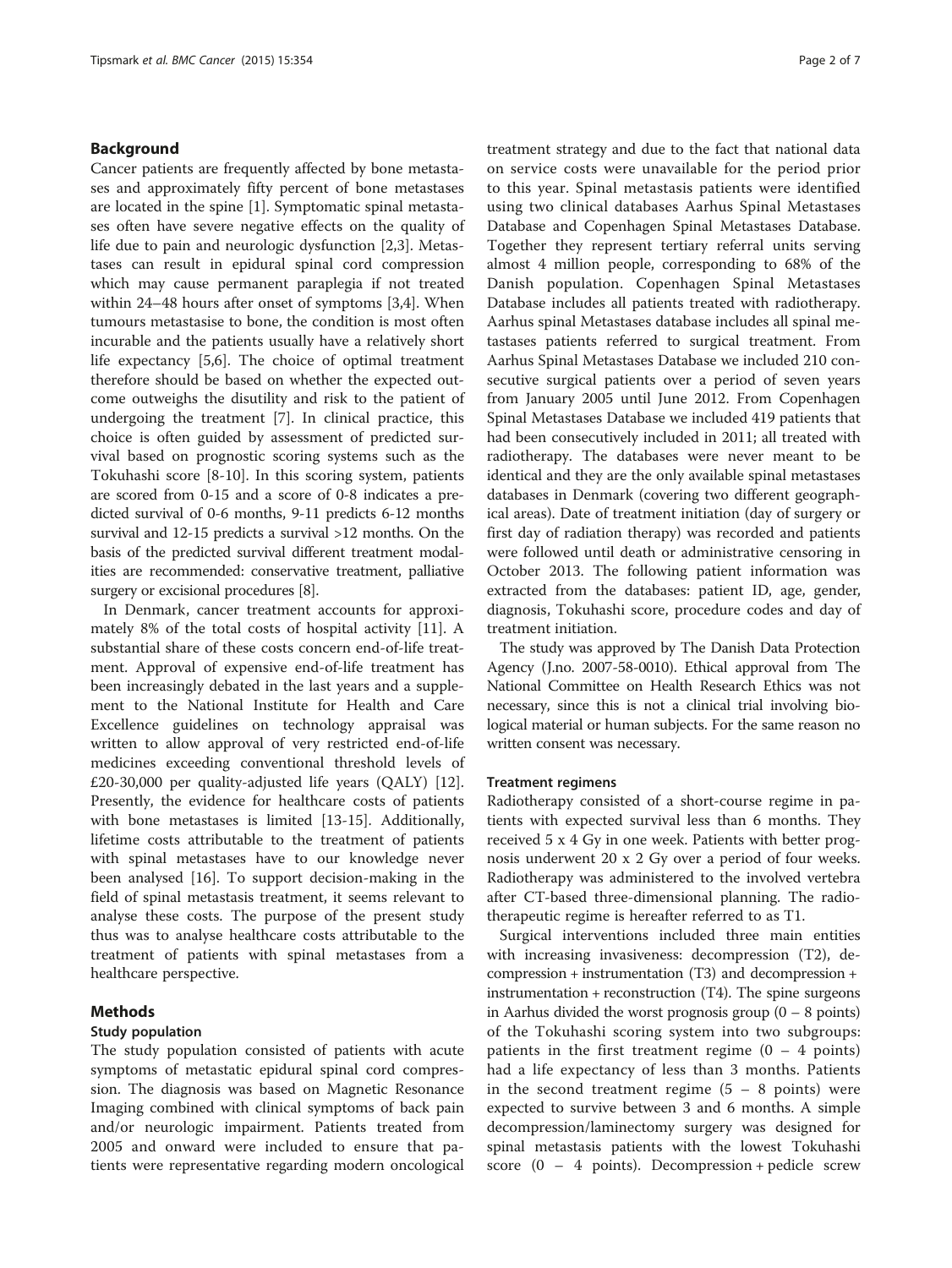#### Background

Cancer patients are frequently affected by bone metastases and approximately fifty percent of bone metastases are located in the spine [[1\]](#page-6-0). Symptomatic spinal metastases often have severe negative effects on the quality of life due to pain and neurologic dysfunction [\[2,3](#page-6-0)]. Metastases can result in epidural spinal cord compression which may cause permanent paraplegia if not treated within 24–48 hours after onset of symptoms [\[3,4](#page-6-0)]. When tumours metastasise to bone, the condition is most often incurable and the patients usually have a relatively short life expectancy [\[5,6](#page-6-0)]. The choice of optimal treatment therefore should be based on whether the expected outcome outweighs the disutility and risk to the patient of undergoing the treatment [[7\]](#page-6-0). In clinical practice, this choice is often guided by assessment of predicted survival based on prognostic scoring systems such as the Tokuhashi score [\[8](#page-6-0)-[10\]](#page-6-0). In this scoring system, patients are scored from 0-15 and a score of 0-8 indicates a predicted survival of 0-6 months, 9-11 predicts 6-12 months survival and 12-15 predicts a survival >12 months. On the basis of the predicted survival different treatment modalities are recommended: conservative treatment, palliative surgery or excisional procedures [[8\]](#page-6-0).

In Denmark, cancer treatment accounts for approximately 8% of the total costs of hospital activity [\[11](#page-6-0)]. A substantial share of these costs concern end-of-life treatment. Approval of expensive end-of-life treatment has been increasingly debated in the last years and a supplement to the National Institute for Health and Care Excellence guidelines on technology appraisal was written to allow approval of very restricted end-of-life medicines exceeding conventional threshold levels of £20-30,000 per quality-adjusted life years (QALY) [\[12](#page-6-0)]. Presently, the evidence for healthcare costs of patients with bone metastases is limited [\[13](#page-6-0)-[15](#page-6-0)]. Additionally, lifetime costs attributable to the treatment of patients with spinal metastases have to our knowledge never been analysed [\[16](#page-6-0)]. To support decision-making in the field of spinal metastasis treatment, it seems relevant to analyse these costs. The purpose of the present study thus was to analyse healthcare costs attributable to the treatment of patients with spinal metastases from a healthcare perspective.

#### Methods

# Study population

The study population consisted of patients with acute symptoms of metastatic epidural spinal cord compression. The diagnosis was based on Magnetic Resonance Imaging combined with clinical symptoms of back pain and/or neurologic impairment. Patients treated from 2005 and onward were included to ensure that patients were representative regarding modern oncological

treatment strategy and due to the fact that national data on service costs were unavailable for the period prior to this year. Spinal metastasis patients were identified using two clinical databases Aarhus Spinal Metastases Database and Copenhagen Spinal Metastases Database. Together they represent tertiary referral units serving almost 4 million people, corresponding to 68% of the Danish population. Copenhagen Spinal Metastases Database includes all patients treated with radiotherapy. Aarhus spinal Metastases database includes all spinal metastases patients referred to surgical treatment. From Aarhus Spinal Metastases Database we included 210 consecutive surgical patients over a period of seven years from January 2005 until June 2012. From Copenhagen Spinal Metastases Database we included 419 patients that had been consecutively included in 2011; all treated with radiotherapy. The databases were never meant to be identical and they are the only available spinal metastases databases in Denmark (covering two different geographical areas). Date of treatment initiation (day of surgery or first day of radiation therapy) was recorded and patients were followed until death or administrative censoring in October 2013. The following patient information was extracted from the databases: patient ID, age, gender, diagnosis, Tokuhashi score, procedure codes and day of treatment initiation.

The study was approved by The Danish Data Protection Agency (J.no. 2007-58-0010). Ethical approval from The National Committee on Health Research Ethics was not necessary, since this is not a clinical trial involving biological material or human subjects. For the same reason no written consent was necessary.

#### Treatment regimens

Radiotherapy consisted of a short-course regime in patients with expected survival less than 6 months. They received 5 x 4 Gy in one week. Patients with better prognosis underwent 20 x 2 Gy over a period of four weeks. Radiotherapy was administered to the involved vertebra after CT-based three-dimensional planning. The radiotherapeutic regime is hereafter referred to as T1.

Surgical interventions included three main entities with increasing invasiveness: decompression (T2), decompression + instrumentation (T3) and decompression + instrumentation  $+$  reconstruction  $(T4)$ . The spine surgeons in Aarhus divided the worst prognosis group  $(0 - 8 \text{ points})$ of the Tokuhashi scoring system into two subgroups: patients in the first treatment regime  $(0 - 4 \text{ points})$ had a life expectancy of less than 3 months. Patients in the second treatment regime  $(5 - 8 \text{ points})$  were expected to survive between 3 and 6 months. A simple decompression/laminectomy surgery was designed for spinal metastasis patients with the lowest Tokuhashi score  $(0 - 4$  points). Decompression + pedicle screw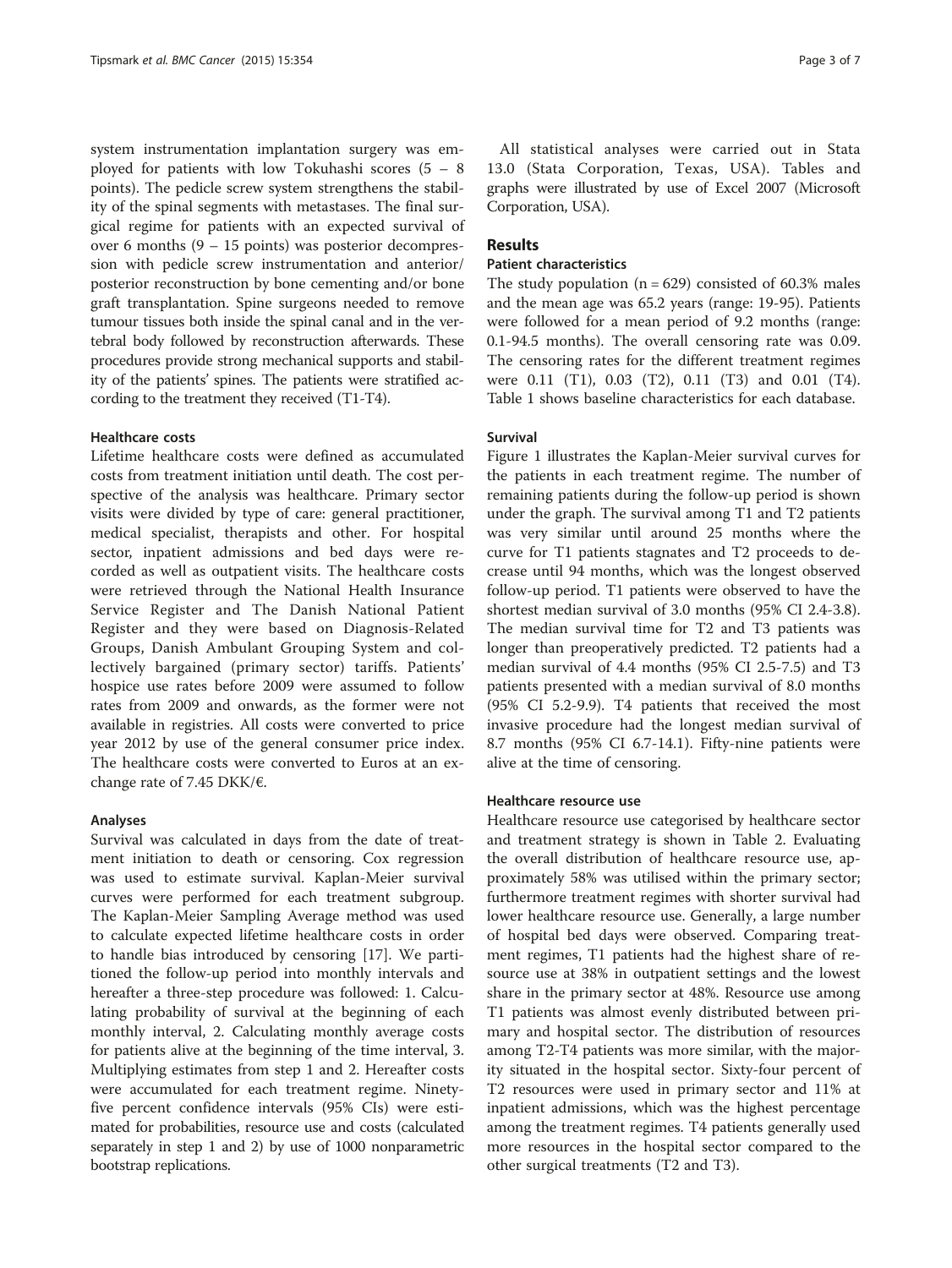system instrumentation implantation surgery was employed for patients with low Tokuhashi scores (5 – 8 points). The pedicle screw system strengthens the stability of the spinal segments with metastases. The final surgical regime for patients with an expected survival of over 6 months (9 – 15 points) was posterior decompression with pedicle screw instrumentation and anterior/ posterior reconstruction by bone cementing and/or bone graft transplantation. Spine surgeons needed to remove tumour tissues both inside the spinal canal and in the vertebral body followed by reconstruction afterwards. These procedures provide strong mechanical supports and stability of the patients' spines. The patients were stratified according to the treatment they received (T1-T4).

#### Healthcare costs

Lifetime healthcare costs were defined as accumulated costs from treatment initiation until death. The cost perspective of the analysis was healthcare. Primary sector visits were divided by type of care: general practitioner, medical specialist, therapists and other. For hospital sector, inpatient admissions and bed days were recorded as well as outpatient visits. The healthcare costs were retrieved through the National Health Insurance Service Register and The Danish National Patient Register and they were based on Diagnosis-Related Groups, Danish Ambulant Grouping System and collectively bargained (primary sector) tariffs. Patients' hospice use rates before 2009 were assumed to follow rates from 2009 and onwards, as the former were not available in registries. All costs were converted to price year 2012 by use of the general consumer price index. The healthcare costs were converted to Euros at an exchange rate of 7.45 DKK/€.

# Analyses

Survival was calculated in days from the date of treatment initiation to death or censoring. Cox regression was used to estimate survival. Kaplan-Meier survival curves were performed for each treatment subgroup. The Kaplan-Meier Sampling Average method was used to calculate expected lifetime healthcare costs in order to handle bias introduced by censoring [\[17\]](#page-6-0). We partitioned the follow-up period into monthly intervals and hereafter a three-step procedure was followed: 1. Calculating probability of survival at the beginning of each monthly interval, 2. Calculating monthly average costs for patients alive at the beginning of the time interval, 3. Multiplying estimates from step 1 and 2. Hereafter costs were accumulated for each treatment regime. Ninetyfive percent confidence intervals (95% CIs) were estimated for probabilities, resource use and costs (calculated separately in step 1 and 2) by use of 1000 nonparametric bootstrap replications.

All statistical analyses were carried out in Stata 13.0 (Stata Corporation, Texas, USA). Tables and graphs were illustrated by use of Excel 2007 (Microsoft Corporation, USA).

# Results

# Patient characteristics

The study population  $(n = 629)$  consisted of 60.3% males and the mean age was 65.2 years (range: 19-95). Patients were followed for a mean period of 9.2 months (range: 0.1-94.5 months). The overall censoring rate was 0.09. The censoring rates for the different treatment regimes were 0.11 (T1), 0.03 (T2), 0.11 (T3) and 0.01 (T4). Table [1](#page-3-0) shows baseline characteristics for each database.

#### Survival

Figure [1](#page-4-0) illustrates the Kaplan-Meier survival curves for the patients in each treatment regime. The number of remaining patients during the follow-up period is shown under the graph. The survival among T1 and T2 patients was very similar until around 25 months where the curve for T1 patients stagnates and T2 proceeds to decrease until 94 months, which was the longest observed follow-up period. T1 patients were observed to have the shortest median survival of 3.0 months (95% CI 2.4-3.8). The median survival time for T2 and T3 patients was longer than preoperatively predicted. T2 patients had a median survival of 4.4 months (95% CI 2.5-7.5) and T3 patients presented with a median survival of 8.0 months (95% CI 5.2-9.9). T4 patients that received the most invasive procedure had the longest median survival of 8.7 months (95% CI 6.7-14.1). Fifty-nine patients were alive at the time of censoring.

# Healthcare resource use

Healthcare resource use categorised by healthcare sector and treatment strategy is shown in Table [2.](#page-4-0) Evaluating the overall distribution of healthcare resource use, approximately 58% was utilised within the primary sector; furthermore treatment regimes with shorter survival had lower healthcare resource use. Generally, a large number of hospital bed days were observed. Comparing treatment regimes, T1 patients had the highest share of resource use at 38% in outpatient settings and the lowest share in the primary sector at 48%. Resource use among T1 patients was almost evenly distributed between primary and hospital sector. The distribution of resources among T2-T4 patients was more similar, with the majority situated in the hospital sector. Sixty-four percent of T2 resources were used in primary sector and 11% at inpatient admissions, which was the highest percentage among the treatment regimes. T4 patients generally used more resources in the hospital sector compared to the other surgical treatments (T2 and T3).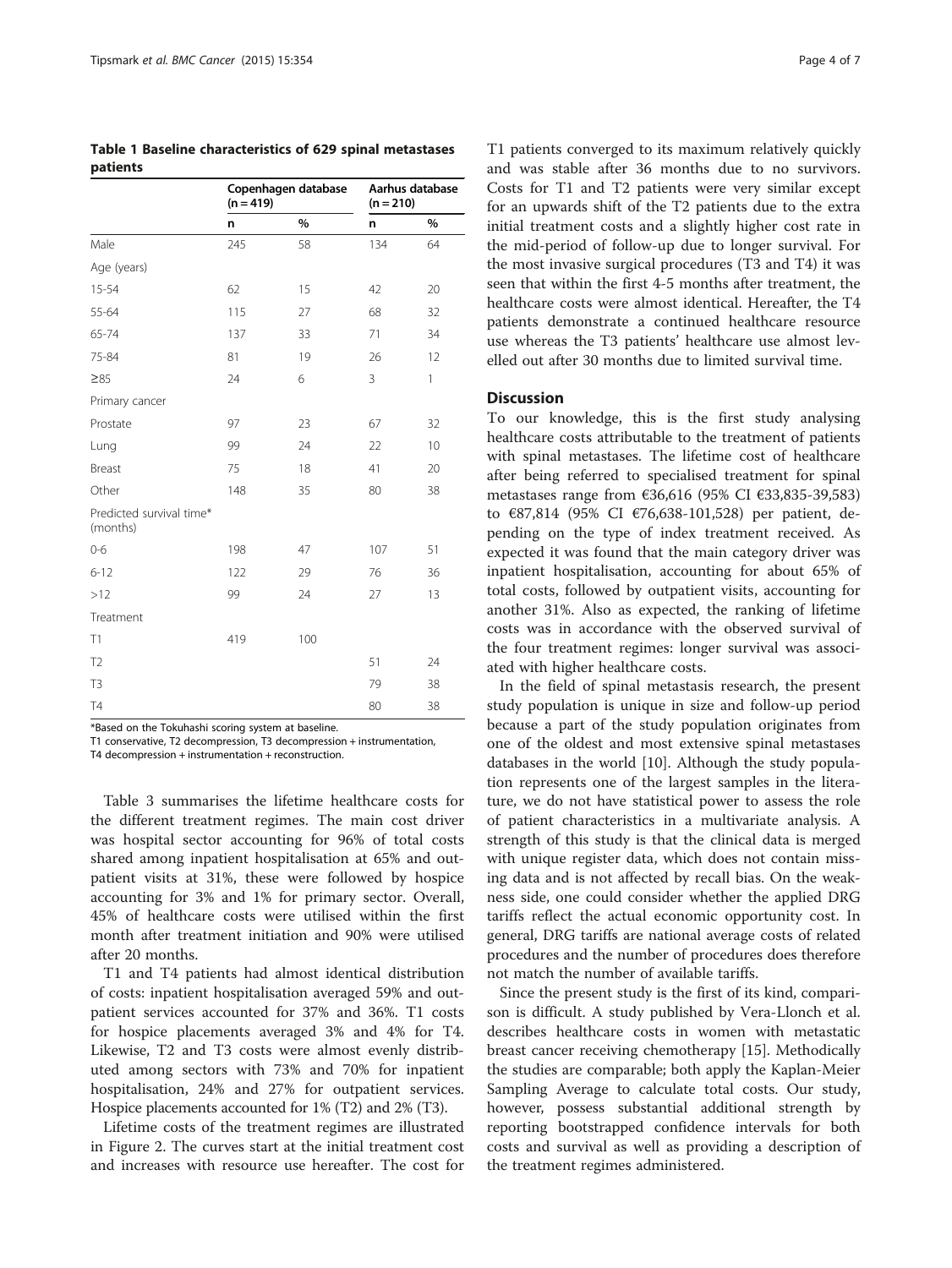<span id="page-3-0"></span>Table 1 Baseline characteristics of 629 spinal metastases patients

|                                      | $(n = 419)$ | Copenhagen database |     | Aarhus database<br>$(n = 210)$ |  |  |
|--------------------------------------|-------------|---------------------|-----|--------------------------------|--|--|
|                                      | n           | %                   | n   | $\%$                           |  |  |
| Male                                 | 245         | 58                  | 134 | 64                             |  |  |
| Age (years)                          |             |                     |     |                                |  |  |
| 15-54                                | 62          | 15                  | 42  | 20                             |  |  |
| 55-64                                | 115         | 27                  | 68  | 32                             |  |  |
| 65-74                                | 137         | 33                  | 71  | 34                             |  |  |
| 75-84                                | 81          | 19                  | 26  | 12                             |  |  |
| $\geq 85$                            | 24          | 6                   | 3   | 1                              |  |  |
| Primary cancer                       |             |                     |     |                                |  |  |
| Prostate                             | 97          | 23                  |     | 32                             |  |  |
| Lung                                 | 99          | 24                  | 22  | 10                             |  |  |
| Breast                               | 75          | 18                  | 41  | 20                             |  |  |
| Other                                | 148         | 35                  | 80  | 38                             |  |  |
| Predicted survival time*<br>(months) |             |                     |     |                                |  |  |
| $0 - 6$                              | 198         | 47                  | 107 | 51                             |  |  |
| $6 - 12$                             | 122         | 29                  | 76  | 36                             |  |  |
| >12                                  | 99          | 24                  | 27  | 13                             |  |  |
| Treatment                            |             |                     |     |                                |  |  |
| T1                                   | 419         | 100                 |     |                                |  |  |
| T <sub>2</sub>                       |             |                     | 51  | 24                             |  |  |
| T <sub>3</sub>                       |             |                     | 79  | 38                             |  |  |
| T <sub>4</sub>                       |             |                     | 80  | 38                             |  |  |

\*Based on the Tokuhashi scoring system at baseline.

T1 conservative, T2 decompression, T3 decompression + instrumentation,

T4 decompression + instrumentation + reconstruction.

Table [3](#page-5-0) summarises the lifetime healthcare costs for the different treatment regimes. The main cost driver was hospital sector accounting for 96% of total costs shared among inpatient hospitalisation at 65% and outpatient visits at 31%, these were followed by hospice accounting for 3% and 1% for primary sector. Overall, 45% of healthcare costs were utilised within the first month after treatment initiation and 90% were utilised after 20 months.

T1 and T4 patients had almost identical distribution of costs: inpatient hospitalisation averaged 59% and outpatient services accounted for 37% and 36%. T1 costs for hospice placements averaged 3% and 4% for T4. Likewise, T2 and T3 costs were almost evenly distributed among sectors with 73% and 70% for inpatient hospitalisation, 24% and 27% for outpatient services. Hospice placements accounted for 1% (T2) and 2% (T3).

Lifetime costs of the treatment regimes are illustrated in Figure [2.](#page-5-0) The curves start at the initial treatment cost and increases with resource use hereafter. The cost for

T1 patients converged to its maximum relatively quickly and was stable after 36 months due to no survivors. Costs for T1 and T2 patients were very similar except for an upwards shift of the T2 patients due to the extra initial treatment costs and a slightly higher cost rate in the mid-period of follow-up due to longer survival. For the most invasive surgical procedures (T3 and T4) it was seen that within the first 4-5 months after treatment, the healthcare costs were almost identical. Hereafter, the T4 patients demonstrate a continued healthcare resource use whereas the T3 patients' healthcare use almost levelled out after 30 months due to limited survival time.

# **Discussion**

To our knowledge, this is the first study analysing healthcare costs attributable to the treatment of patients with spinal metastases. The lifetime cost of healthcare after being referred to specialised treatment for spinal metastases range from €36,616 (95% CI €33,835-39,583) to €87,814 (95% CI €76,638-101,528) per patient, depending on the type of index treatment received. As expected it was found that the main category driver was inpatient hospitalisation, accounting for about 65% of total costs, followed by outpatient visits, accounting for another 31%. Also as expected, the ranking of lifetime costs was in accordance with the observed survival of the four treatment regimes: longer survival was associated with higher healthcare costs.

In the field of spinal metastasis research, the present study population is unique in size and follow-up period because a part of the study population originates from one of the oldest and most extensive spinal metastases databases in the world [[10\]](#page-6-0). Although the study population represents one of the largest samples in the literature, we do not have statistical power to assess the role of patient characteristics in a multivariate analysis. A strength of this study is that the clinical data is merged with unique register data, which does not contain missing data and is not affected by recall bias. On the weakness side, one could consider whether the applied DRG tariffs reflect the actual economic opportunity cost. In general, DRG tariffs are national average costs of related procedures and the number of procedures does therefore not match the number of available tariffs.

Since the present study is the first of its kind, comparison is difficult. A study published by Vera-Llonch et al. describes healthcare costs in women with metastatic breast cancer receiving chemotherapy [[15\]](#page-6-0). Methodically the studies are comparable; both apply the Kaplan-Meier Sampling Average to calculate total costs. Our study, however, possess substantial additional strength by reporting bootstrapped confidence intervals for both costs and survival as well as providing a description of the treatment regimes administered.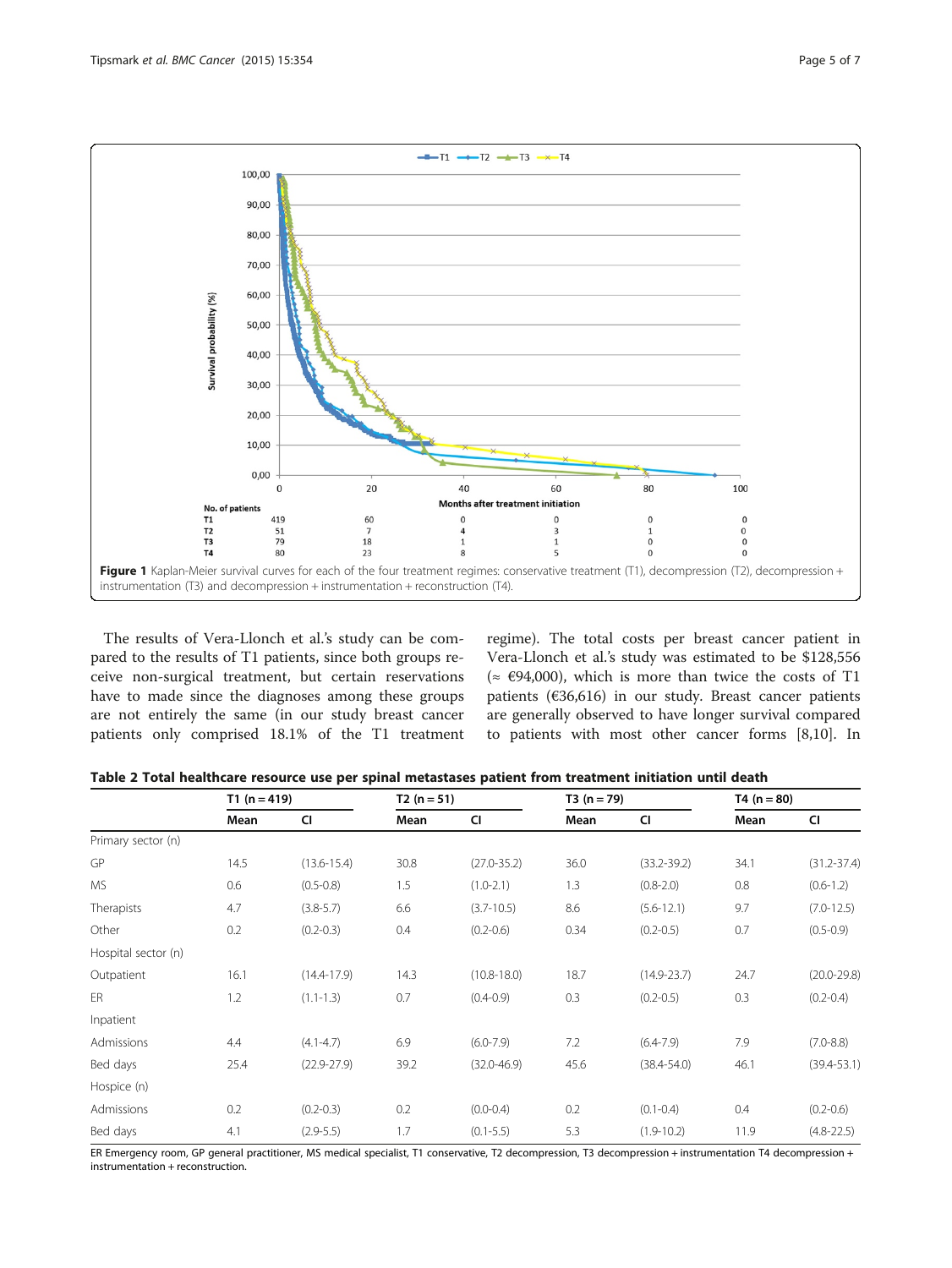<span id="page-4-0"></span>

The results of Vera-Llonch et al.'s study can be compared to the results of T1 patients, since both groups receive non-surgical treatment, but certain reservations have to made since the diagnoses among these groups are not entirely the same (in our study breast cancer patients only comprised 18.1% of the T1 treatment regime). The total costs per breast cancer patient in Vera-Llonch et al.'s study was estimated to be \$128,556  $(≈ €94,000)$ , which is more than twice the costs of T1 patients (€36,616) in our study. Breast cancer patients are generally observed to have longer survival compared to patients with most other cancer forms [[8](#page-6-0),[10](#page-6-0)]. In

| Table 2 Total healthcare resource use per spinal metastases patient from treatment initiation until death |  |  |  |
|-----------------------------------------------------------------------------------------------------------|--|--|--|
|-----------------------------------------------------------------------------------------------------------|--|--|--|

|                     | T1 $(n = 419)$ |                 | $T2 (n = 51)$ |                 | $T3 (n = 79)$ |                 | $T4 (n = 80)$ |                 |  |
|---------------------|----------------|-----------------|---------------|-----------------|---------------|-----------------|---------------|-----------------|--|
|                     | Mean           | <b>CI</b>       | Mean          | <b>CI</b>       | Mean          | <b>CI</b>       | Mean          | <b>CI</b>       |  |
| Primary sector (n)  |                |                 |               |                 |               |                 |               |                 |  |
| GP                  | 14.5           | $(13.6 - 15.4)$ | 30.8          | $(27.0 - 35.2)$ | 36.0          | $(33.2 - 39.2)$ | 34.1          | $(31.2 - 37.4)$ |  |
| <b>MS</b>           | 0.6            | $(0.5 - 0.8)$   | 1.5           | $(1.0 - 2.1)$   | 1.3           | $(0.8 - 2.0)$   | 0.8           | $(0.6-1.2)$     |  |
| Therapists          | 4.7            | $(3.8 - 5.7)$   | 6.6           | $(3.7 - 10.5)$  | 8.6           | $(5.6 - 12.1)$  | 9.7           | $(7.0 - 12.5)$  |  |
| Other               | 0.2            | $(0.2 - 0.3)$   | 0.4           | $(0.2 - 0.6)$   | 0.34          | $(0.2 - 0.5)$   | 0.7           | $(0.5 - 0.9)$   |  |
| Hospital sector (n) |                |                 |               |                 |               |                 |               |                 |  |
| Outpatient          | 16.1           | $(14.4 - 17.9)$ | 14.3          | $(10.8 - 18.0)$ | 18.7          | $(14.9 - 23.7)$ | 24.7          | $(20.0 - 29.8)$ |  |
| ER                  | 1.2            | $(1.1 - 1.3)$   | 0.7           | $(0.4 - 0.9)$   | 0.3           | $(0.2 - 0.5)$   | 0.3           | $(0.2 - 0.4)$   |  |
| Inpatient           |                |                 |               |                 |               |                 |               |                 |  |
| Admissions          | 4.4            | $(4.1 - 4.7)$   | 6.9           | $(6.0 - 7.9)$   | 7.2           | $(6.4 - 7.9)$   | 7.9           | $(7.0 - 8.8)$   |  |
| Bed days            | 25.4           | $(22.9 - 27.9)$ | 39.2          | $(32.0 - 46.9)$ | 45.6          | $(38.4 - 54.0)$ | 46.1          | $(39.4 - 53.1)$ |  |
| Hospice (n)         |                |                 |               |                 |               |                 |               |                 |  |
| Admissions          | 0.2            | $(0.2 - 0.3)$   | 0.2           | $(0.0 - 0.4)$   | 0.2           | $(0.1 - 0.4)$   | 0.4           | $(0.2 - 0.6)$   |  |
| Bed days            | 4.1            | $(2.9 - 5.5)$   | 1.7           | $(0.1 - 5.5)$   | 5.3           | $(1.9 - 10.2)$  | 11.9          | $(4.8 - 22.5)$  |  |

ER Emergency room, GP general practitioner, MS medical specialist, T1 conservative, T2 decompression, T3 decompression + instrumentation T4 decompression + instrumentation + reconstruction.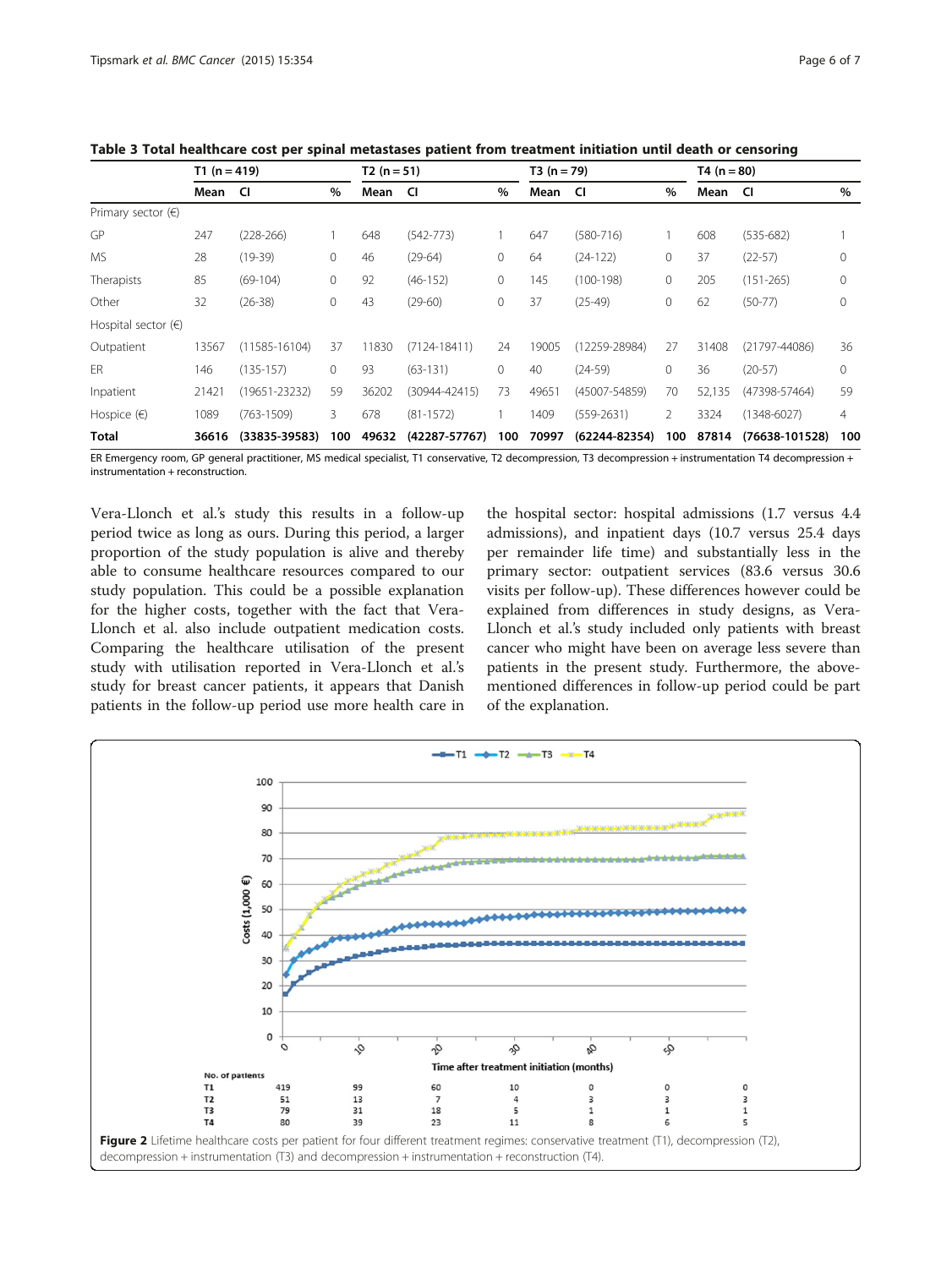<span id="page-5-0"></span>

| Table 3 Total healthcare cost per spinal metastases patient from treatment initiation until death or censoring |  |  |  |
|----------------------------------------------------------------------------------------------------------------|--|--|--|
|----------------------------------------------------------------------------------------------------------------|--|--|--|

|                              | T1 (n = 419) |                   |              | $T2(n=51)$ |                   |      | T3 (n = 79) |                   | T4 (n = 80)    |        |                    |      |
|------------------------------|--------------|-------------------|--------------|------------|-------------------|------|-------------|-------------------|----------------|--------|--------------------|------|
|                              | Mean         | <b>CI</b>         | $\%$         | Mean       | <b>CI</b>         | $\%$ | Mean        | <b>CI</b>         | $\%$           | Mean   | -CI                | $\%$ |
| Primary sector $(\epsilon)$  |              |                   |              |            |                   |      |             |                   |                |        |                    |      |
| GP                           | 247          | $(228-266)$       |              | 648        | $(542 - 773)$     |      | 647         | $(580 - 716)$     |                | 608    | $(535-682)$        |      |
| <b>MS</b>                    | 28           | $(19-39)$         | $\circ$      | 46         | $(29-64)$         | 0    | 64          | $(24-122)$        | 0              | 37     | $(22-57)$          | 0    |
| Therapists                   | 85           | $(69-104)$        | $\circ$      | 92         | $(46-152)$        | 0    | 145         | $(100-198)$       | 0              | 205    | $(151 - 265)$      | 0    |
| Other                        | 32           | $(26-38)$         | $\mathbf{0}$ | 43         | $(29-60)$         | 0    | 37          | $(25-49)$         | 0              | 62     | $(50-77)$          | 0    |
| Hospital sector $(\epsilon)$ |              |                   |              |            |                   |      |             |                   |                |        |                    |      |
| Outpatient                   | 13567        | $(11585 - 16104)$ | 37           | 11830      | $(7124 - 18411)$  | 24   | 19005       | (12259-28984)     | 27             | 31408  | $(21797 - 44086)$  | 36   |
| ER                           | 146          | $(135-157)$       | $\circ$      | 93         | $(63-131)$        | 0    | 40          | $(24-59)$         | 0              | 36     | $(20-57)$          | 0    |
| Inpatient                    | 21421        | (19651-23232)     | 59           | 36202      | $(30944 - 42415)$ | 73   | 49651       | (45007-54859)     | 70             | 52,135 | (47398-57464)      | 59   |
| Hospice $(\epsilon)$         | 1089         | $(763 - 1509)$    | 3            | 678        | $(81 - 1572)$     |      | 1409        | $(559 - 2631)$    | $\overline{2}$ | 3324   | $(1348 - 6027)$    | 4    |
| <b>Total</b>                 | 36616        | $(33835 - 39583)$ | 100          | 49632      | $(42287 - 57767)$ | 100  | 70997       | $(62244 - 82354)$ | 100            | 87814  | $(76638 - 101528)$ | 100  |

ER Emergency room, GP general practitioner, MS medical specialist, T1 conservative, T2 decompression, T3 decompression + instrumentation T4 decompression + instrumentation + reconstruction.

Vera-Llonch et al.'s study this results in a follow-up period twice as long as ours. During this period, a larger proportion of the study population is alive and thereby able to consume healthcare resources compared to our study population. This could be a possible explanation for the higher costs, together with the fact that Vera-Llonch et al. also include outpatient medication costs. Comparing the healthcare utilisation of the present study with utilisation reported in Vera-Llonch et al.'s study for breast cancer patients, it appears that Danish patients in the follow-up period use more health care in

the hospital sector: hospital admissions (1.7 versus 4.4 admissions), and inpatient days (10.7 versus 25.4 days per remainder life time) and substantially less in the primary sector: outpatient services (83.6 versus 30.6 visits per follow-up). These differences however could be explained from differences in study designs, as Vera-Llonch et al.'s study included only patients with breast cancer who might have been on average less severe than patients in the present study. Furthermore, the abovementioned differences in follow-up period could be part of the explanation.